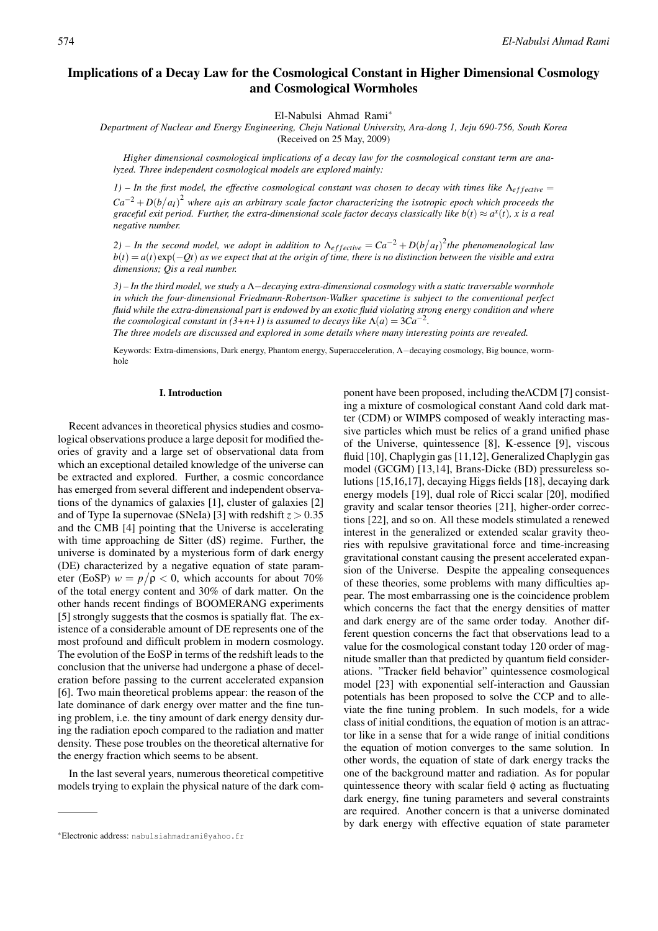# Implications of a Decay Law for the Cosmological Constant in Higher Dimensional Cosmology and Cosmological Wormholes

El-Nabulsi Ahmad Rami∗

*Department of Nuclear and Energy Engineering, Cheju National University, Ara-dong 1, Jeju 690-756, South Korea* (Received on 25 May, 2009)

*Higher dimensional cosmological implications of a decay law for the cosmological constant term are analyzed. Three independent cosmological models are explored mainly:*

 $1$ ) – In the first model, the effective cosmological constant was chosen to decay with times like  $\Lambda_{effective} =$  $Ca^{-2} + D(b/a<sub>I</sub>)<sup>2</sup>$  where a<sub>I</sub>is an arbitrary scale factor characterizing the isotropic epoch which proceeds the *graceful exit period. Further, the extra-dimensional scale factor decays classically like*  $b(t) \approx a^x(t)$ *, x is a real negative number.*

*2*) – In the second model, we adopt in addition to  $\Lambda_{effective} = Ca^{-2} + D(b/a_I)^2$  the phenomenological law  $b(t) = a(t) \exp(-Qt)$  *as we expect that at the origin of time, there is no distinction between the visible and extra dimensions; Qis a real number.*

*3) – In the third model, we study a* Λ−*decaying extra-dimensional cosmology with a static traversable wormhole in which the four-dimensional Friedmann-Robertson-Walker spacetime is subject to the conventional perfect fluid while the extra-dimensional part is endowed by an exotic fluid violating strong energy condition and where the cosmological constant in (3+n+1) is assumed to decays like*  $\Lambda(a) = 3Ca^{-2}$ *.* 

*The three models are discussed and explored in some details where many interesting points are revealed.*

Keywords: Extra-dimensions, Dark energy, Phantom energy, Superacceleration, Λ−decaying cosmology, Big bounce, wormhole

#### I. Introduction

Recent advances in theoretical physics studies and cosmological observations produce a large deposit for modified theories of gravity and a large set of observational data from which an exceptional detailed knowledge of the universe can be extracted and explored. Further, a cosmic concordance has emerged from several different and independent observations of the dynamics of galaxies [1], cluster of galaxies [2] and of Type Ia supernovae (SNeIa) [3] with redshift  $z > 0.35$ and the CMB [4] pointing that the Universe is accelerating with time approaching de Sitter (dS) regime. Further, the universe is dominated by a mysterious form of dark energy (DE) characterized by a negative equation of state parameter (EoSP)  $w = p/\rho < 0$ , which accounts for about 70% of the total energy content and 30% of dark matter. On the other hands recent findings of BOOMERANG experiments [5] strongly suggests that the cosmos is spatially flat. The existence of a considerable amount of DE represents one of the most profound and difficult problem in modern cosmology. The evolution of the EoSP in terms of the redshift leads to the conclusion that the universe had undergone a phase of deceleration before passing to the current accelerated expansion [6]. Two main theoretical problems appear: the reason of the late dominance of dark energy over matter and the fine tuning problem, i.e. the tiny amount of dark energy density during the radiation epoch compared to the radiation and matter density. These pose troubles on the theoretical alternative for the energy fraction which seems to be absent.

In the last several years, numerous theoretical competitive models trying to explain the physical nature of the dark component have been proposed, including theΛCDM [7] consisting a mixture of cosmological constant Λand cold dark matter (CDM) or WIMPS composed of weakly interacting massive particles which must be relics of a grand unified phase of the Universe, quintessence [8], K-essence [9], viscous fluid [10], Chaplygin gas [11,12], Generalized Chaplygin gas model (GCGM) [13,14], Brans-Dicke (BD) pressureless solutions [15,16,17], decaying Higgs fields [18], decaying dark energy models [19], dual role of Ricci scalar [20], modified gravity and scalar tensor theories [21], higher-order corrections [22], and so on. All these models stimulated a renewed interest in the generalized or extended scalar gravity theories with repulsive gravitational force and time-increasing gravitational constant causing the present accelerated expansion of the Universe. Despite the appealing consequences of these theories, some problems with many difficulties appear. The most embarrassing one is the coincidence problem which concerns the fact that the energy densities of matter and dark energy are of the same order today. Another different question concerns the fact that observations lead to a value for the cosmological constant today 120 order of magnitude smaller than that predicted by quantum field considerations. "Tracker field behavior" quintessence cosmological model [23] with exponential self-interaction and Gaussian potentials has been proposed to solve the CCP and to alleviate the fine tuning problem. In such models, for a wide class of initial conditions, the equation of motion is an attractor like in a sense that for a wide range of initial conditions the equation of motion converges to the same solution. In other words, the equation of state of dark energy tracks the one of the background matter and radiation. As for popular quintessence theory with scalar field  $\phi$  acting as fluctuating dark energy, fine tuning parameters and several constraints are required. Another concern is that a universe dominated by dark energy with effective equation of state parameter

<sup>∗</sup>Electronic address: nabulsiahmadrami@yahoo.fr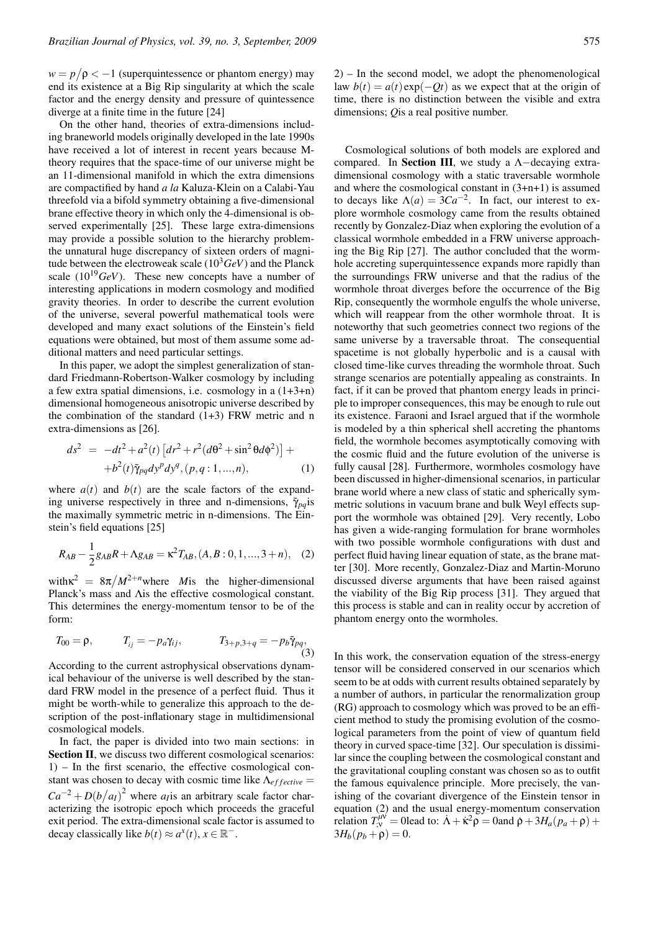$w = p/\rho < -1$  (superquintessence or phantom energy) may end its existence at a Big Rip singularity at which the scale factor and the energy density and pressure of quintessence diverge at a finite time in the future [24]

On the other hand, theories of extra-dimensions including braneworld models originally developed in the late 1990s have received a lot of interest in recent years because Mtheory requires that the space-time of our universe might be an 11-dimensional manifold in which the extra dimensions are compactified by hand *a la* Kaluza-Klein on a Calabi-Yau threefold via a bifold symmetry obtaining a five-dimensional brane effective theory in which only the 4-dimensional is observed experimentally [25]. These large extra-dimensions may provide a possible solution to the hierarchy problemthe unnatural huge discrepancy of sixteen orders of magnitude between the electroweak scale  $(10^3 GeV)$  and the Planck scale  $(10^{19} \text{GeV})$ . These new concepts have a number of interesting applications in modern cosmology and modified gravity theories. In order to describe the current evolution of the universe, several powerful mathematical tools were developed and many exact solutions of the Einstein's field equations were obtained, but most of them assume some additional matters and need particular settings.

In this paper, we adopt the simplest generalization of standard Friedmann-Robertson-Walker cosmology by including a few extra spatial dimensions, i.e. cosmology in a (1+3+n) dimensional homogeneous anisotropic universe described by the combination of the standard (1+3) FRW metric and n extra-dimensions as [26].

$$
ds^{2} = -dt^{2} + a^{2}(t) \left[ dr^{2} + r^{2} (d\theta^{2} + \sin^{2} \theta d\phi^{2}) \right] +
$$
  
+ $b^{2}(t) \tilde{\gamma}_{pq} dy^{p} dy^{q}, (p, q : 1, ..., n),$  (1)

where  $a(t)$  and  $b(t)$  are the scale factors of the expanding universe respectively in three and n-dimensions,  $\tilde{\gamma}_{pa}$  is the maximally symmetric metric in n-dimensions. The Einstein's field equations [25]

$$
R_{AB} - \frac{1}{2}g_{AB}R + \Lambda g_{AB} = \kappa^2 T_{AB}, (A, B: 0, 1, ..., 3 + n), (2)
$$

with $\kappa^2 = 8\pi/M^{2+n}$  where *M* is the higher-dimensional Planck's mass and Λis the effective cosmological constant. This determines the energy-momentum tensor to be of the form:

$$
T_{00} = \rho, \qquad T_{ij} = -p_a \gamma_{ij}, \qquad T_{3+p,3+q} = -p_b \tilde{\gamma}_{pq}, \qquad (3)
$$

According to the current astrophysical observations dynamical behaviour of the universe is well described by the standard FRW model in the presence of a perfect fluid. Thus it might be worth-while to generalize this approach to the description of the post-inflationary stage in multidimensional cosmological models.

In fact, the paper is divided into two main sections: in Section II, we discuss two different cosmological scenarios: 1) – In the first scenario, the effective cosmological constant was chosen to decay with cosmic time like  $\Lambda_{effective} =$  $Ca^{-2} + D(b/a_I)^2$  where *a<sub>I</sub>* is an arbitrary scale factor characterizing the isotropic epoch which proceeds the graceful exit period. The extra-dimensional scale factor is assumed to decay classically like  $b(t) \approx a^x(t)$ ,  $x \in \mathbb{R}^-$ .

2) – In the second model, we adopt the phenomenological law  $b(t) = a(t) \exp(-Qt)$  as we expect that at the origin of time, there is no distinction between the visible and extra dimensions; *Q*is a real positive number.

Cosmological solutions of both models are explored and compared. In Section III, we study a Λ−decaying extradimensional cosmology with a static traversable wormhole and where the cosmological constant in (3+n+1) is assumed to decays like  $\Lambda(a) = 3Ca^{-2}$ . In fact, our interest to explore wormhole cosmology came from the results obtained recently by Gonzalez-Diaz when exploring the evolution of a classical wormhole embedded in a FRW universe approaching the Big Rip [27]. The author concluded that the wormhole accreting superquintessence expands more rapidly than the surroundings FRW universe and that the radius of the wormhole throat diverges before the occurrence of the Big Rip, consequently the wormhole engulfs the whole universe, which will reappear from the other wormhole throat. It is noteworthy that such geometries connect two regions of the same universe by a traversable throat. The consequential spacetime is not globally hyperbolic and is a causal with closed time-like curves threading the wormhole throat. Such strange scenarios are potentially appealing as constraints. In fact, if it can be proved that phantom energy leads in principle to improper consequences, this may be enough to rule out its existence. Faraoni and Israel argued that if the wormhole is modeled by a thin spherical shell accreting the phantoms field, the wormhole becomes asymptotically comoving with the cosmic fluid and the future evolution of the universe is fully causal [28]. Furthermore, wormholes cosmology have been discussed in higher-dimensional scenarios, in particular brane world where a new class of static and spherically symmetric solutions in vacuum brane and bulk Weyl effects support the wormhole was obtained [29]. Very recently, Lobo has given a wide-ranging formulation for brane wormholes with two possible wormhole configurations with dust and perfect fluid having linear equation of state, as the brane matter [30]. More recently, Gonzalez-Diaz and Martin-Moruno discussed diverse arguments that have been raised against the viability of the Big Rip process [31]. They argued that this process is stable and can in reality occur by accretion of phantom energy onto the wormholes.

In this work, the conservation equation of the stress-energy tensor will be considered conserved in our scenarios which seem to be at odds with current results obtained separately by a number of authors, in particular the renormalization group (RG) approach to cosmology which was proved to be an efficient method to study the promising evolution of the cosmological parameters from the point of view of quantum field theory in curved space-time [32]. Our speculation is dissimilar since the coupling between the cosmological constant and the gravitational coupling constant was chosen so as to outfit the famous equivalence principle. More precisely, the vanishing of the covariant divergence of the Einstein tensor in equation (2) and the usual energy-momentum conservation relation  $T_{,v}^{\mu\nu}$  = 0lead to:  $\dot{\Lambda} + \dot{\kappa}^2 \rho$  = 0and  $\dot{\rho} + 3H_a(p_a + \rho)$  +  $3H_b(p_b + \rho) = 0.$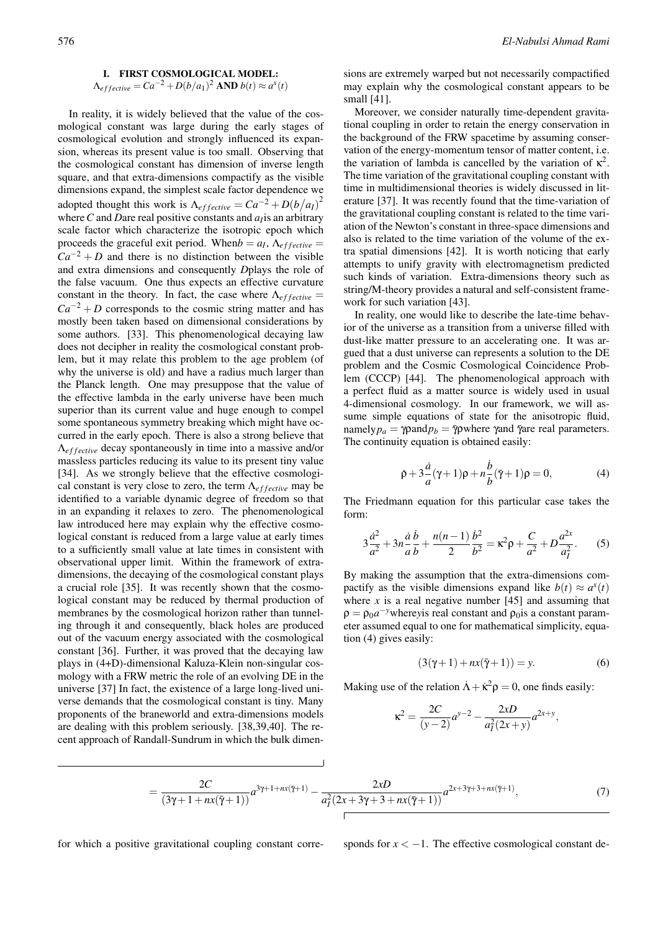# I. FIRST COSMOLOGICAL MODEL:  $\Lambda_{effective} = Ca^{-2} + D(b/a_1)^2$  AND  $b(t) \approx a^x(t)$

In reality, it is widely believed that the value of the cosmological constant was large during the early stages of cosmological evolution and strongly influenced its expansion, whereas its present value is too small. Observing that the cosmological constant has dimension of inverse length square, and that extra-dimensions compactify as the visible dimensions expand, the simplest scale factor dependence we adopted thought this work is  $\Lambda_{effective} = Ca^{-2} + D(b/a_I)^2$ where *C* and *Dare* real positive constants and *a<sub>I</sub>* is an arbitrary scale factor which characterize the isotropic epoch which proceeds the graceful exit period. When  $b = a<sub>I</sub>$ ,  $\Lambda_{effective} =$  $Ca^{-2} + D$  and there is no distinction between the visible and extra dimensions and consequently *D*plays the role of the false vacuum. One thus expects an effective curvature constant in the theory. In fact, the case where  $\Lambda_{effective} =$  $Ca^{-2} + D$  corresponds to the cosmic string matter and has mostly been taken based on dimensional considerations by some authors. [33]. This phenomenological decaying law does not decipher in reality the cosmological constant problem, but it may relate this problem to the age problem (of why the universe is old) and have a radius much larger than the Planck length. One may presuppose that the value of the effective lambda in the early universe have been much superior than its current value and huge enough to compel some spontaneous symmetry breaking which might have occurred in the early epoch. There is also a strong believe that Λ*e f f ective* decay spontaneously in time into a massive and/or massless particles reducing its value to its present tiny value [34]. As we strongly believe that the effective cosmological constant is very close to zero, the term  $\Lambda_{effective}$  may be identified to a variable dynamic degree of freedom so that in an expanding it relaxes to zero. The phenomenological law introduced here may explain why the effective cosmological constant is reduced from a large value at early times to a sufficiently small value at late times in consistent with observational upper limit. Within the framework of extradimensions, the decaying of the cosmological constant plays a crucial role [35]. It was recently shown that the cosmological constant may be reduced by thermal production of membranes by the cosmological horizon rather than tunneling through it and consequently, black holes are produced out of the vacuum energy associated with the cosmological constant [36]. Further, it was proved that the decaying law plays in (4+D)-dimensional Kaluza-Klein non-singular cosmology with a FRW metric the role of an evolving DE in the universe [37] In fact, the existence of a large long-lived universe demands that the cosmological constant is tiny. Many proponents of the braneworld and extra-dimensions models are dealing with this problem seriously. [38,39,40]. The recent approach of Randall-Sundrum in which the bulk dimen-

sions are extremely warped but not necessarily compactified may explain why the cosmological constant appears to be small [41].

Moreover, we consider naturally time-dependent gravitational coupling in order to retain the energy conservation in the background of the FRW spacetime by assuming conservation of the energy-momentum tensor of matter content, i.e. the variation of lambda is cancelled by the variation of  $\kappa^2$ . The time variation of the gravitational coupling constant with time in multidimensional theories is widely discussed in literature [37]. It was recently found that the time-variation of the gravitational coupling constant is related to the time variation of the Newton's constant in three-space dimensions and also is related to the time variation of the volume of the extra spatial dimensions [42]. It is worth noticing that early attempts to unify gravity with electromagnetism predicted such kinds of variation. Extra-dimensions theory such as string/M-theory provides a natural and self-consistent framework for such variation [43].

In reality, one would like to describe the late-time behavior of the universe as a transition from a universe filled with dust-like matter pressure to an accelerating one. It was argued that a dust universe can represents a solution to the DE problem and the Cosmic Cosmological Coincidence Problem (CCCP) [44]. The phenomenological approach with a perfect fluid as a matter source is widely used in usual 4-dimensional cosmology. In our framework, we will assume simple equations of state for the anisotropic fluid, namely $p_a = \gamma \rho$ and $p_b = \overline{\gamma} \rho$ where  $\gamma$ and  $\overline{\gamma}$ are real parameters. The continuity equation is obtained easily:

$$
\dot{\rho} + 3\frac{\dot{a}}{a}(\gamma + 1)\rho + n\frac{\dot{b}}{b}(\bar{\gamma} + 1)\rho = 0, \tag{4}
$$

The Friedmann equation for this particular case takes the form:

$$
3\frac{\dot{a}^2}{a^2} + 3n\frac{\dot{a}}{a}\frac{\dot{b}}{b} + \frac{n(n-1)}{2}\frac{\dot{b}^2}{b^2} = \kappa^2 \rho + \frac{C}{a^2} + D\frac{a^{2x}}{a_1^2}.
$$
 (5)

By making the assumption that the extra-dimensions compactify as the visible dimensions expand like  $b(t) \approx a^x(t)$ where  $x$  is a real negative number  $[45]$  and assuming that  $\rho = \rho_0 a^{-y}$  where *y* is real constant and  $\rho_0$  is a constant parameter assumed equal to one for mathematical simplicity, equation (4) gives easily:

$$
(3(\gamma + 1) + nx(\overline{\gamma} + 1)) = y.
$$
 (6)

Making use of the relation  $\dot{\Lambda} + \dot{\kappa}^2 \rho = 0$ , one finds easily:

$$
\kappa^{2} = \frac{2C}{(y-2)}a^{y-2} - \frac{2xD}{a_{1}^{2}(2x+y)}a^{2x+y},
$$

$$
=\frac{2C}{(3\gamma+1+nx(\bar{\gamma}+1))}a^{3\gamma+1+nx(\bar{\gamma}+1)}-\frac{2xD}{a_1^2(2x+3\gamma+3+nx(\bar{\gamma}+1))}a^{2x+3\gamma+3+nx(\bar{\gamma}+1)},
$$
\n(7)

for which a positive gravitational coupling constant corre-<br>sponds for  $x < -1$ . The effective cosmological constant de-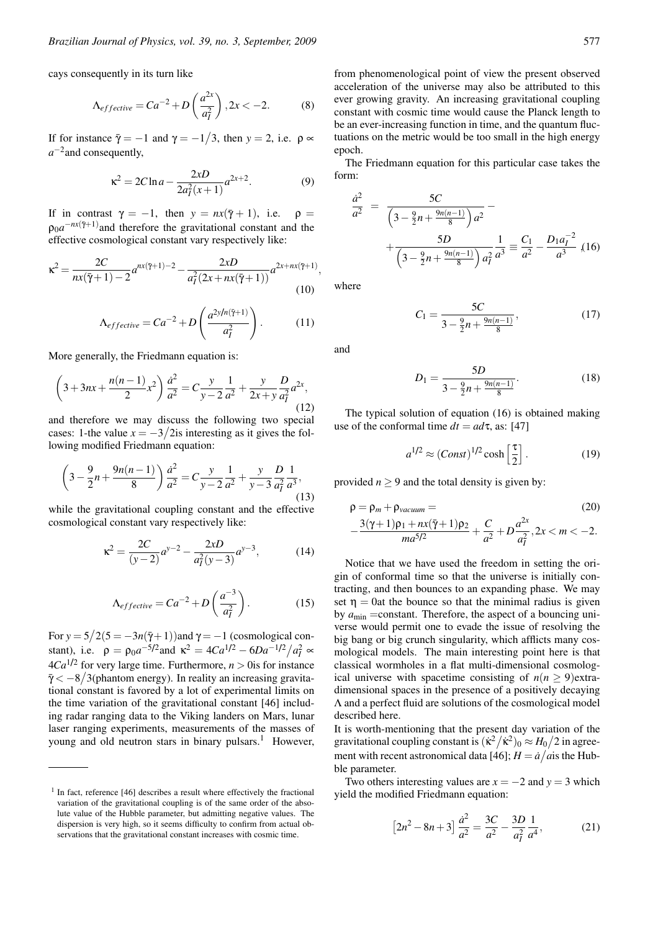cays consequently in its turn like

$$
\Lambda_{effective} = Ca^{-2} + D\left(\frac{a^{2x}}{a_1^2}\right), 2x < -2. \tag{8}
$$

If for instance  $\bar{\gamma} = -1$  and  $\gamma = -1/3$ , then  $y = 2$ , i.e.  $\rho \propto$ *a*<sup>−2</sup>and consequently,

$$
\kappa^2 = 2C \ln a - \frac{2xD}{2a_1^2(x+1)} a^{2x+2}.
$$
 (9)

If in contrast  $\gamma = -1$ , then  $y = nx(\overline{\gamma} + 1)$ , i.e.  $\rho =$  $\rho_0 a^{-nx(\bar{\gamma}+1)}$  and therefore the gravitational constant and the effective cosmological constant vary respectively like:

$$
\kappa^{2} = \frac{2C}{nx(\bar{\gamma}+1) - 2}a^{nx(\bar{\gamma}+1) - 2} - \frac{2xD}{a_{I}^{2}(2x + nx(\bar{\gamma}+1))}a^{2x + nx(\bar{\gamma}+1)},
$$
\n(10)

$$
\Lambda_{effective} = Ca^{-2} + D \left( \frac{a^{2y/n(\tilde{\gamma}+1)}}{a_I^2} \right). \tag{11}
$$

More generally, the Friedmann equation is:

$$
\left(3+3nx+\frac{n(n-1)}{2}x^2\right)\frac{\dot{a}^2}{a^2}=C\frac{y}{y-2}\frac{1}{a^2}+\frac{y}{2x+y}\frac{D}{a_1^2}a^{2x},\tag{12}
$$

and therefore we may discuss the following two special cases: 1-the value  $x = -3/2$ is interesting as it gives the following modified Friedmann equation:

$$
\left(3 - \frac{9}{2}n + \frac{9n(n-1)}{8}\right)\frac{\dot{a}^2}{a^2} = C\frac{y}{y-2}\frac{1}{a^2} + \frac{y}{y-3}\frac{D}{a_1^2}\frac{1}{a^3},\tag{13}
$$

while the gravitational coupling constant and the effective cosmological constant vary respectively like:

$$
\kappa^2 = \frac{2C}{(y-2)}a^{y-2} - \frac{2xD}{a_1^2(y-3)}a^{y-3},\tag{14}
$$

$$
\Lambda_{effective} = Ca^{-2} + D\left(\frac{a^{-3}}{a_1^2}\right). \tag{15}
$$

For  $y = 5/2(5 = -3n(\bar{y}+1))$  and  $\gamma = -1$  (cosmological constant), i.e.  $\rho = \rho_0 a^{-5/2}$  and  $\kappa^2 = 4Ca^{1/2} - 6Da^{-1/2}/a_I^2 \approx$  $4Ca^{1/2}$  for very large time. Furthermore,  $n > 0$  is for instance  $\bar{\gamma}$  <  $-8/3$ (phantom energy). In reality an increasing gravitational constant is favored by a lot of experimental limits on the time variation of the gravitational constant [46] including radar ranging data to the Viking landers on Mars, lunar laser ranging experiments, measurements of the masses of young and old neutron stars in binary pulsars.<sup>1</sup> However, from phenomenological point of view the present observed acceleration of the universe may also be attributed to this ever growing gravity. An increasing gravitational coupling constant with cosmic time would cause the Planck length to be an ever-increasing function in time, and the quantum fluctuations on the metric would be too small in the high energy epoch.

The Friedmann equation for this particular case takes the form:

$$
\frac{\dot{a}^2}{a^2} = \frac{5C}{\left(3 - \frac{9}{2}n + \frac{9n(n-1)}{8}\right)a^2} - \frac{5D}{\left(3 - \frac{9}{2}n + \frac{9n(n-1)}{8}\right)a^2} \frac{1}{a^3} \equiv \frac{C_1}{a^2} - \frac{D_1 a_1^{-2}}{a^3} \tag{16}
$$

where

$$
C_1 = \frac{5C}{3 - \frac{9}{2}n + \frac{9n(n-1)}{8}},\tag{17}
$$

and

$$
D_1 = \frac{5D}{3 - \frac{9}{2}n + \frac{9n(n-1)}{8}}.\tag{18}
$$

The typical solution of equation (16) is obtained making use of the conformal time  $dt = ad\tau$ , as: [47]

$$
a^{1/2} \approx (Const)^{1/2} \cosh\left[\frac{\tau}{2}\right].\tag{19}
$$

provided  $n \geq 9$  and the total density is given by:

$$
\rho = \rho_m + \rho_{vacuum} = \qquad (20)
$$
  
- 
$$
\frac{3(\gamma + 1)\rho_1 + nx(\bar{\gamma} + 1)\rho_2}{ma^{5/2}} + \frac{C}{a^2} + D\frac{a^{2x}}{a_1^2}, 2x < m < -2.
$$

Notice that we have used the freedom in setting the origin of conformal time so that the universe is initially contracting, and then bounces to an expanding phase. We may set  $\eta = 0$ at the bounce so that the minimal radius is given by  $a_{\text{min}}$  =constant. Therefore, the aspect of a bouncing universe would permit one to evade the issue of resolving the big bang or big crunch singularity, which afflicts many cosmological models. The main interesting point here is that classical wormholes in a flat multi-dimensional cosmological universe with spacetime consisting of  $n(n \ge 9)$ extradimensional spaces in the presence of a positively decaying Λ and a perfect fluid are solutions of the cosmological model described here.

It is worth-mentioning that the present day variation of the gravitational coupling constant is  $(\kappa^2/\kappa^2)_0 \approx H_0/2$  in agreement with recent astronomical data [46];  $H = \frac{\dot{a}}{\dot{a}}$  is the Hubble parameter.

Two others interesting values are  $x = -2$  and  $y = 3$  which yield the modified Friedmann equation:

$$
\[2n^2 - 8n + 3\]\frac{\dot{a}^2}{a^2} = \frac{3C}{a^2} - \frac{3D}{a_I^2}\frac{1}{a^4},\tag{21}
$$

<sup>&</sup>lt;sup>1</sup> In fact, reference [46] describes a result where effectively the fractional variation of the gravitational coupling is of the same order of the absolute value of the Hubble parameter, but admitting negative values. The dispersion is very high, so it seems difficulty to confirm from actual observations that the gravitational constant increases with cosmic time.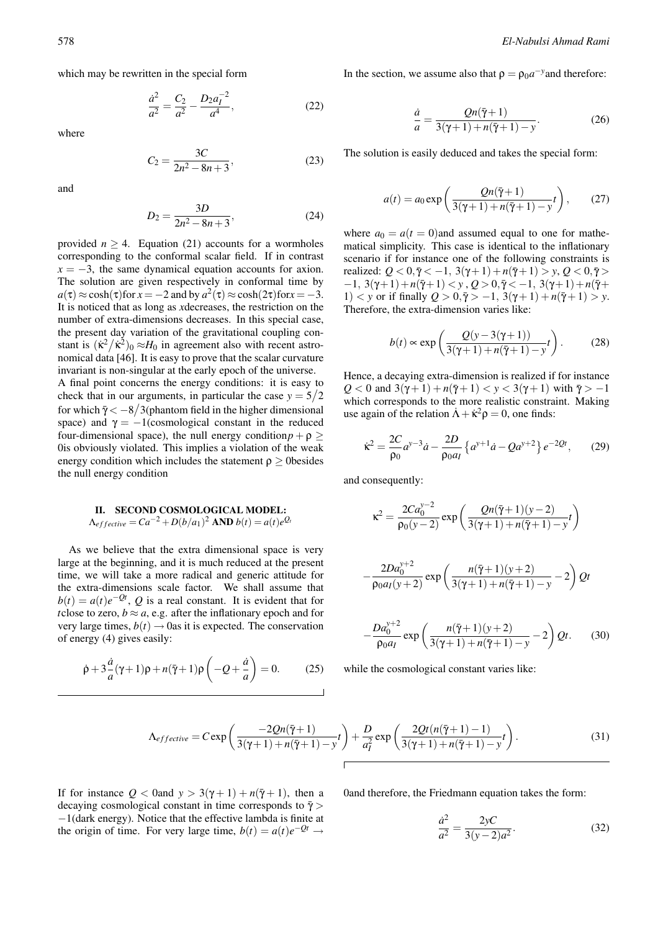which may be rewritten in the special form

$$
\frac{\dot{a}^2}{a^2} = \frac{C_2}{a^2} - \frac{D_2 a_I^{-2}}{a^4},\tag{22}
$$

where

$$
C_2 = \frac{3C}{2n^2 - 8n + 3},\tag{23}
$$

and

$$
D_2 = \frac{3D}{2n^2 - 8n + 3},\tag{24}
$$

provided  $n > 4$ . Equation (21) accounts for a wormholes corresponding to the conformal scalar field. If in contrast  $x = -3$ , the same dynamical equation accounts for axion. The solution are given respectively in conformal time by  $a(\tau) \approx \cosh(\tau)$  for  $x = -2$  and by  $a^2(\tau) \approx \cosh(2\tau)$  for  $x = -3$ . It is noticed that as long as *x*decreases, the restriction on the number of extra-dimensions decreases. In this special case, the present day variation of the gravitational coupling constant is  $(\kappa^2 / \kappa^2)_0 \approx H_0$  in agreement also with recent astronomical data [46]. It is easy to prove that the scalar curvature invariant is non-singular at the early epoch of the universe.

A final point concerns the energy conditions: it is easy to check that in our arguments, in particular the case  $y = 5/2$ for which  $\bar{\gamma} < -8/3$ (phantom field in the higher dimensional space) and  $\gamma = -1$ (cosmological constant in the reduced four-dimensional space), the null energy condition $p + \rho \geq$ 0is obviously violated. This implies a violation of the weak energy condition which includes the statement  $\rho \geq 0$ besides the null energy condition

# II. SECOND COSMOLOGICAL MODEL:  $\Lambda_{effective} = Ca^{-2} + D(b/a_1)^2$  AND  $b(t) = a(t)e^{Q_t}$

As we believe that the extra dimensional space is very large at the beginning, and it is much reduced at the present time, we will take a more radical and generic attitude for the extra-dimensions scale factor. We shall assume that  $b(t) = a(t)e^{-\mathcal{Q}t}$ , *Q* is a real constant. It is evident that for *t*close to zero,  $b \approx a$ , e.g. after the inflationary epoch and for very large times,  $b(t) \rightarrow 0$ as it is expected. The conservation of energy (4) gives easily:

$$
\dot{\rho} + 3\frac{\dot{a}}{a}(\gamma + 1)\rho + n(\bar{\gamma} + 1)\rho\left(-Q + \frac{\dot{a}}{a}\right) = 0.
$$
 (25)

In the section, we assume also that  $\rho = \rho_0 a^{-y}$  and therefore:

$$
\frac{\dot{a}}{a} = \frac{Qn(\bar{\gamma}+1)}{3(\gamma+1) + n(\bar{\gamma}+1) - y}.\tag{26}
$$

The solution is easily deduced and takes the special form:

$$
a(t) = a_0 \exp\left(\frac{Qn(\bar{\gamma}+1)}{3(\gamma+1) + n(\bar{\gamma}+1) - y}t\right),\qquad(27)
$$

where  $a_0 = a(t = 0)$  and assumed equal to one for mathematical simplicity. This case is identical to the inflationary scenario if for instance one of the following constraints is realized:  $Q < 0, \bar{\gamma} < -1, 3(\gamma + 1) + n(\bar{\gamma} + 1) > y, Q < 0, \bar{\gamma} >$  $-1$ ,  $3(\gamma+1)+n(\bar{\gamma}+1) < y$ ,  $Q > 0$ ,  $\bar{\gamma} < -1$ ,  $3(\gamma+1)+n(\bar{\gamma}+1)$  $1) < y$  or if finally  $Q > 0, \bar{y} > -1, 3(\gamma + 1) + n(\bar{y} + 1) > y$ . Therefore, the extra-dimension varies like:

$$
b(t) \propto \exp\left(\frac{Q(y-3(\gamma+1))}{3(\gamma+1)+n(\bar{\gamma}+1)-y}t\right). \tag{28}
$$

Hence, a decaying extra-dimension is realized if for instance *Q* < 0 and 3( $\gamma$  + 1) + *n*( $\bar{\gamma}$  + 1) < *y* < 3( $\gamma$  + 1) with  $\bar{\gamma}$  > −1 which corresponds to the more realistic constraint. Making use again of the relation  $\dot{A} + \dot{\kappa}^2 \rho = 0$ , one finds:

$$
\dot{\kappa}^2 = \frac{2C}{\rho_0} a^{y-3} \dot{a} - \frac{2D}{\rho_0 a_I} \left\{ a^{y+1} \dot{a} - Q a^{y+2} \right\} e^{-2Qt},\qquad(29)
$$

and consequently:

$$
\kappa^{2} = \frac{2Ca_{0}^{y-2}}{\rho_{0}(y-2)} \exp\left(\frac{Qn(\bar{\gamma}+1)(y-2)}{3(\gamma+1)+n(\bar{\gamma}+1)-y}t\right)
$$

$$
-\frac{2Da_0^{y+2}}{\rho_0 a_I(y+2)} \exp\left(\frac{n(\bar{\gamma}+1)(y+2)}{3(\gamma+1)+n(\bar{\gamma}+1)-y}-2\right)Qt
$$

$$
-\frac{Da_0^{y+2}}{\rho_0 a_1} \exp\left(\frac{n(\bar{\gamma}+1)(y+2)}{3(\gamma+1)+n(\bar{\gamma}+1)-y}-2\right) Qt.
$$
 (30)

while the cosmological constant varies like:

$$
\Lambda_{effective} = C \exp\left(\frac{-2Qn(\bar{\gamma}+1)}{3(\gamma+1)+n(\bar{\gamma}+1)-y}t\right) + \frac{D}{a_1^2} \exp\left(\frac{2Qt(n(\bar{\gamma}+1)-1)}{3(\gamma+1)+n(\bar{\gamma}+1)-y}t\right).
$$
\n(31)

If for instance  $Q < 0$  and  $y > 3(\gamma + 1) + n(\overline{\gamma} + 1)$ , then a decaying cosmological constant in time corresponds to  $\bar{\gamma}$  > −1(dark energy). Notice that the effective lambda is finite at the origin of time. For very large time,  $b(t) = a(t)e^{-\mathcal{Q}t} \rightarrow$  0and therefore, the Friedmann equation takes the form:

$$
\frac{\dot{a}^2}{a^2} = \frac{2yC}{3(y-2)a^2}.
$$
 (32)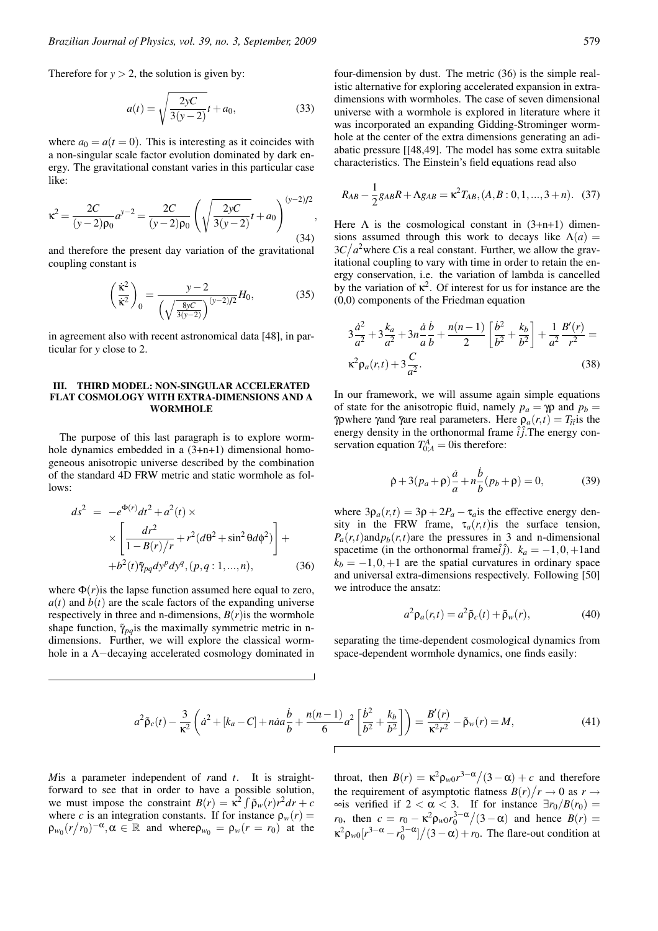Therefore for  $y > 2$ , the solution is given by:

$$
a(t) = \sqrt{\frac{2yC}{3(y-2)}}t + a_0,
$$
\n(33)

where  $a_0 = a(t = 0)$ . This is interesting as it coincides with a non-singular scale factor evolution dominated by dark energy. The gravitational constant varies in this particular case like:

$$
\kappa^{2} = \frac{2C}{(y-2)\rho_{0}} a^{y-2} = \frac{2C}{(y-2)\rho_{0}} \left( \sqrt{\frac{2yC}{3(y-2)}} t + a_{0} \right)^{(y-2)/2},
$$
\n(34)

and therefore the present day variation of the gravitational coupling constant is

$$
\left(\frac{\dot{\kappa}^2}{\dot{\kappa}^2}\right)_0 = \frac{y - 2}{\left(\sqrt{\frac{8yC}{3(y-2)}}\right)^{(y-2)/2}} H_0,
$$
\n(35)

in agreement also with recent astronomical data [48], in particular for *y* close to 2.

### III. THIRD MODEL: NON-SINGULAR ACCELERATED FLAT COSMOLOGY WITH EXTRA-DIMENSIONS AND A WORMHOLE

The purpose of this last paragraph is to explore wormhole dynamics embedded in a  $(3+n+1)$  dimensional homogeneous anisotropic universe described by the combination of the standard 4D FRW metric and static wormhole as follows:

$$
ds^{2} = -e^{\Phi(r)}dt^{2} + a^{2}(t) \times
$$
  
 
$$
\times \left[ \frac{dr^{2}}{1 - B(r)/r} + r^{2}(d\theta^{2} + \sin^{2}\theta d\phi^{2}) \right] +
$$
  
 
$$
+b^{2}(t)\tilde{\gamma}_{pq}dy^{p}dy^{q}, (p, q: 1, ..., n),
$$
 (36)

where  $\Phi(r)$  is the lapse function assumed here equal to zero,  $a(t)$  and  $b(t)$  are the scale factors of the expanding universe respectively in three and n-dimensions,  $B(r)$  is the wormhole shape function,  $\tilde{\gamma}_{pq}$  is the maximally symmetric metric in ndimensions. Further, we will explore the classical wormhole in a Λ−decaying accelerated cosmology dominated in four-dimension by dust. The metric (36) is the simple realistic alternative for exploring accelerated expansion in extradimensions with wormholes. The case of seven dimensional universe with a wormhole is explored in literature where it was incorporated an expanding Gidding-Strominger wormhole at the center of the extra dimensions generating an adiabatic pressure [[48,49]. The model has some extra suitable characteristics. The Einstein's field equations read also

$$
R_{AB} - \frac{1}{2}g_{AB}R + \Lambda g_{AB} = \kappa^2 T_{AB}, (A, B: 0, 1, ..., 3 + n). \quad (37)
$$

Here  $\Lambda$  is the cosmological constant in  $(3+n+1)$  dimensions assumed through this work to decays like  $\Lambda(a)$  =  $3C/a<sup>2</sup>$  where *C* is a real constant. Further, we allow the gravitational coupling to vary with time in order to retain the energy conservation, i.e. the variation of lambda is cancelled by the variation of  $\kappa^2$ . Of interest for us for instance are the (0,0) components of the Friedman equation

$$
3\frac{\dot{a}^2}{a^2} + 3\frac{k_a}{a^2} + 3n\frac{\dot{a}}{a}\frac{\dot{b}}{b} + \frac{n(n-1)}{2}\left[\frac{\dot{b}^2}{b^2} + \frac{k_b}{b^2}\right] + \frac{1}{a^2}\frac{B'(r)}{r^2} =
$$
  
\n
$$
\kappa^2 \rho_a(r, t) + 3\frac{C}{a^2}.
$$
\n(38)

In our framework, we will assume again simple equations of state for the anisotropic fluid, namely  $p_a = \gamma \rho$  and  $p_b =$  $\bar{\gamma}$ ρwhere γand γ̄are real parameters. Here  $\rho_a(r,t) = T_{\hat{t}t}$  is the energy density in the orthonormal frame  $\hat{i}$ , The energy conservation equation  $T_{0;A}^A = 0$  is therefore:

$$
\dot{\rho} + 3(p_a + \rho)\frac{\dot{a}}{a} + n\frac{\dot{b}}{b}(p_b + \rho) = 0,
$$
 (39)

where  $3\rho_a(r,t) = 3\rho + 2P_a - \tau_a$  is the effective energy density in the FRW frame,  $\tau_a(r,t)$  is the surface tension,  $P_a(r,t)$ and $p_b(r,t)$ are the pressures in 3 and n-dimensional spacetime (in the orthonormal frame $\hat{i}$ ).  $k_a = -1, 0, +1$ and  $k_b = -1, 0, +1$  are the spatial curvatures in ordinary space and universal extra-dimensions respectively. Following [50] we introduce the ansatz:

$$
a^2 \rho_a(r,t) = a^2 \tilde{\rho}_c(t) + \tilde{\rho}_w(r), \qquad (40)
$$

separating the time-dependent cosmological dynamics from space-dependent wormhole dynamics, one finds easily:

$$
a^2 \tilde{\rho}_c(t) - \frac{3}{\kappa^2} \left( \dot{a}^2 + [k_a - C] + n \dot{a} a \frac{\dot{b}}{b} + \frac{n(n-1)}{6} a^2 \left[ \frac{\dot{b}^2}{b^2} + \frac{k_b}{b^2} \right] \right) = \frac{B'(r)}{\kappa^2 r^2} - \tilde{\rho}_w(r) = M,
$$
\n(41)

*M*is a parameter independent of *r*and *t*. It is straightforward to see that in order to have a possible solution, we must impose the constraint  $B(r) = \kappa^2 \int \tilde{\rho}_w(r) r^2 dr + c$ where *c* is an integration constants. If for instance  $\rho_w(r)$  =  $\rho_{w_0}(r/r_0)^{-\alpha}, \alpha \in \mathbb{R}$  and where  $\rho_{w_0} = \rho_w(r = r_0)$  at the

throat, then  $B(r) = \kappa^2 \rho_{w0} r^{3-\alpha} / (3-\alpha) + c$  and therefore the requirement of asymptotic flatness  $B(r)/r \to 0$  as  $r \to$  $\infty$ is verified if 2 <  $\alpha$  < 3. If for instance  $\exists r_0/B(r_0)$  = *r*<sub>0</sub>, then  $c = r_0 - \kappa^2 \rho_w \sigma r_0^3 - \alpha / (3 - \alpha)$  and hence  $B(r) =$  $\kappa^2 \rho_{w0}[r^{3-\alpha} - r_0^{3-\alpha}] / (3-\alpha) + r_0$ . The flare-out condition at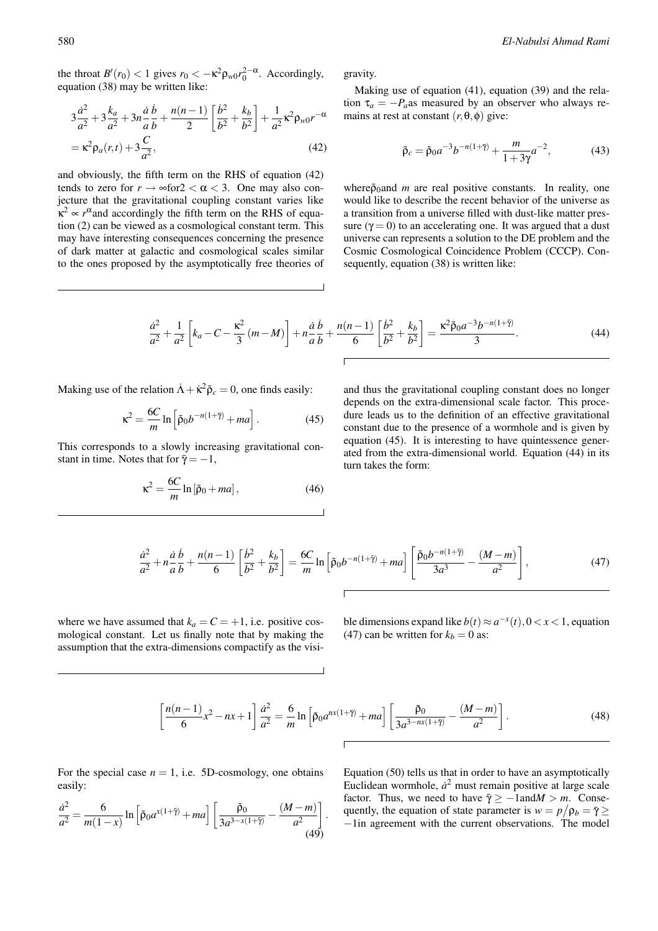the throat  $B'(r_0) < 1$  gives  $r_0 < -\kappa^2 \rho_w \sigma r_0^2 - \alpha$ . Accordingly, equation (38) may be written like:

$$
3\frac{\dot{a}^2}{a^2} + 3\frac{k_a}{a^2} + 3n\frac{\dot{a}}{a}\frac{\dot{b}}{b} + \frac{n(n-1)}{2}\left[\frac{\dot{b}^2}{b^2} + \frac{k_b}{b^2}\right] + \frac{1}{a^2}\kappa^2 \rho_{w0}r^{-\alpha}
$$

$$
= \kappa^2 \rho_a(r,t) + 3\frac{C}{a^2},\tag{42}
$$

and obviously, the fifth term on the RHS of equation (42) tends to zero for  $r \to \infty$  for  $2 < \alpha < 3$ . One may also conjecture that the gravitational coupling constant varies like  $\kappa^2 \propto r^{\alpha}$  and accordingly the fifth term on the RHS of equation (2) can be viewed as a cosmological constant term. This may have interesting consequences concerning the presence of dark matter at galactic and cosmological scales similar to the ones proposed by the asymptotically free theories of gravity.

Making use of equation (41), equation (39) and the relation  $\tau_a = -P_a$ as measured by an observer who always remains at rest at constant  $(r, \theta, \phi)$  give:

$$
\tilde{\rho}_c = \tilde{\rho}_0 a^{-3} b^{-n(1+\tilde{\gamma})} + \frac{m}{1+3\gamma} a^{-2},
$$
\n(43)

where $\tilde{\rho}_0$  and *m* are real positive constants. In reality, one would like to describe the recent behavior of the universe as a transition from a universe filled with dust-like matter pressure ( $\gamma = 0$ ) to an accelerating one. It was argued that a dust universe can represents a solution to the DE problem and the Cosmic Cosmological Coincidence Problem (CCCP). Consequently, equation (38) is written like:

$$
\frac{\dot{a}^2}{a^2} + \frac{1}{a^2} \left[ k_a - C - \frac{\kappa^2}{3} \left( m - M \right) \right] + n \frac{\dot{a}}{a} \frac{\dot{b}}{b} + \frac{n(n-1)}{6} \left[ \frac{\dot{b}^2}{b^2} + \frac{k_b}{b^2} \right] = \frac{\kappa^2 \tilde{\rho}_0 a^{-3} b^{-n(1+\tilde{\gamma})}}{3}.
$$
\n(44)

Making use of the relation  $\dot{A} + \dot{\kappa}^2 \tilde{\rho}_c = 0$ , one finds easily:

$$
\kappa^2 = \frac{6C}{m} \ln \left[ \tilde{\rho}_0 b^{-n(1+\tilde{\gamma})} + ma \right].
$$
 (45)

This corresponds to a slowly increasing gravitational constant in time. Notes that for  $\bar{y} = -1$ ,

$$
\kappa^2 = \frac{6C}{m} \ln[\tilde{\rho}_0 + ma],\tag{46}
$$

and thus the gravitational coupling constant does no longer depends on the extra-dimensional scale factor. This procedure leads us to the definition of an effective gravitational constant due to the presence of a wormhole and is given by equation (45). It is interesting to have quintessence generated from the extra-dimensional world. Equation (44) in its turn takes the form:

$$
\frac{\dot{a}^2}{a^2} + n\frac{\dot{a}}{a}\frac{\dot{b}}{b} + \frac{n(n-1)}{6}\left[\frac{\dot{b}^2}{b^2} + \frac{k_b}{b^2}\right] = \frac{6C}{m}\ln\left[\tilde{p}_0 b^{-n(1+\tilde{\gamma})} + ma\right]\left[\frac{\tilde{p}_0 b^{-n(1+\tilde{\gamma})}}{3a^3} - \frac{(M-m)}{a^2}\right],\tag{47}
$$

where we have assumed that  $k_a = C = +1$ , i.e. positive cosmological constant. Let us finally note that by making the assumption that the extra-dimensions compactify as the visible dimensions expand like  $b(t) \approx a^{-x}(t)$ ,  $0 < x < 1$ , equation (47) can be written for  $k_b = 0$  as:

$$
\left[\frac{n(n-1)}{6}x^2 - nx + 1\right]\frac{d^2}{a^2} = \frac{6}{m}\ln\left[\tilde{p}_0 a^{nx(1+\tilde{\gamma})} + ma\right]\left[\frac{\tilde{p}_0}{3a^{3-nx(1+\tilde{\gamma})}} - \frac{(M-m)}{a^2}\right].
$$
 (48)

For the special case  $n = 1$ , i.e. 5D-cosmology, one obtains easily:

$$
\frac{\dot{a}^2}{a^2} = \frac{6}{m(1-x)} \ln \left[ \tilde{\rho}_0 a^{x(1+\tilde{\gamma})} + ma \right] \left[ \frac{\tilde{\rho}_0}{3a^{3-x(1+\tilde{\gamma})}} - \frac{(M-m)}{a^2} \right].
$$
\n(49)

Equation (50) tells us that in order to have an asymptotically Euclidean wormhole,  $\dot{a}^2$  must remain positive at large scale factor. Thus, we need to have  $\bar{\gamma} \ge -1$  and  $M > m$ . Consequently, the equation of state parameter is  $w = p/p_b = \bar{\gamma} \ge$ −1in agreement with the current observations. The model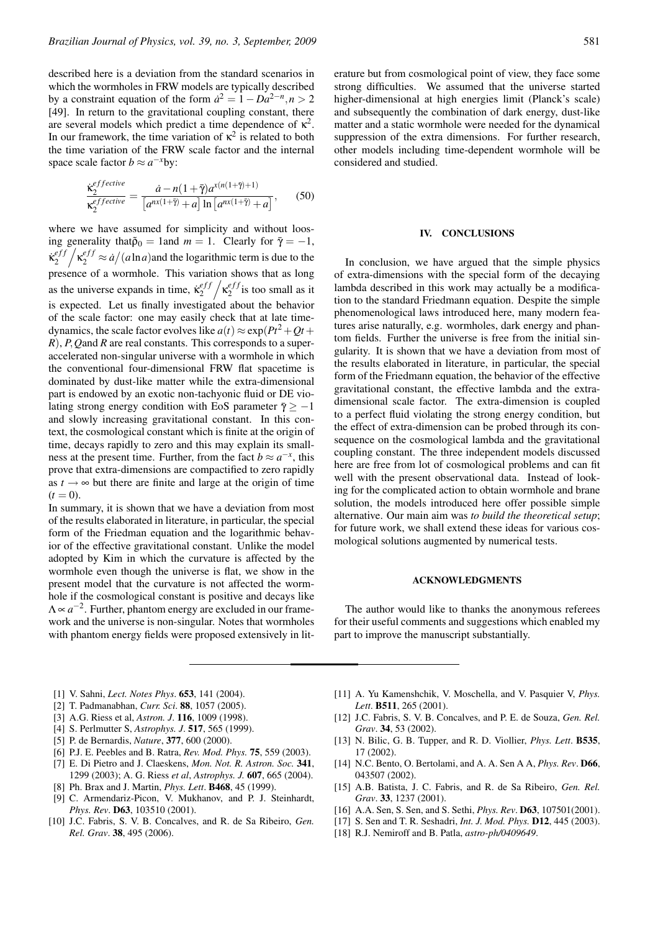described here is a deviation from the standard scenarios in which the wormholes in FRW models are typically described by a constraint equation of the form  $\dot{a}^2 = 1 - Da^{2-n}, n > 2$ [49]. In return to the gravitational coupling constant, there are several models which predict a time dependence of  $\kappa^2$ . In our framework, the time variation of  $\kappa^2$  is related to both the time variation of the FRW scale factor and the internal space scale factor  $b \approx a^{-x}$ by:

$$
\frac{\dot{\kappa}_2^{effective}}{\kappa_2^{effective}} = \frac{\dot{a} - n(1+\bar{\gamma})a^{\kappa(n(1+\bar{\gamma})+1)}}{[a^{n\kappa(1+\bar{\gamma})}+a] \ln\left[a^{n\kappa(1+\bar{\gamma})}+a\right]},\qquad(50)
$$

where we have assumed for simplicity and without loosing generality that $\tilde{\rho}_0 = 1$  and  $m = 1$ . Clearly for  $\bar{\gamma} = -1$ ,  $\kappa^{eff}_{2}$  $\int_2^{eff} \left( \frac{\kappa^{eff}}{2} \approx a/(a \ln a) \right)$  and the logarithmic term is due to the presence of a wormhole. This variation shows that as long as the universe expands in time,  $\dot{\kappa}_2^{eff}$  $\int_2^{eff} \frac{e^{ff}}{2}$  is too small as it is expected. Let us finally investigated about the behavior of the scale factor: one may easily check that at late timedynamics, the scale factor evolves like  $a(t) \approx \exp(Pt^2 + Qt +$ *R*), *P*,*Q*and *R* are real constants. This corresponds to a superaccelerated non-singular universe with a wormhole in which the conventional four-dimensional FRW flat spacetime is dominated by dust-like matter while the extra-dimensional part is endowed by an exotic non-tachyonic fluid or DE violating strong energy condition with EoS parameter  $\bar{y} > -1$ and slowly increasing gravitational constant. In this context, the cosmological constant which is finite at the origin of time, decays rapidly to zero and this may explain its smallness at the present time. Further, from the fact  $b \approx a^{-x}$ , this prove that extra-dimensions are compactified to zero rapidly as  $t \rightarrow \infty$  but there are finite and large at the origin of time  $(t = 0)$ .

In summary, it is shown that we have a deviation from most of the results elaborated in literature, in particular, the special form of the Friedman equation and the logarithmic behavior of the effective gravitational constant. Unlike the model adopted by Kim in which the curvature is affected by the wormhole even though the universe is flat, we show in the present model that the curvature is not affected the wormhole if the cosmological constant is positive and decays like  $\Lambda \propto a^{-2}$ . Further, phantom energy are excluded in our framework and the universe is non-singular. Notes that wormholes with phantom energy fields were proposed extensively in literature but from cosmological point of view, they face some strong difficulties. We assumed that the universe started higher-dimensional at high energies limit (Planck's scale) and subsequently the combination of dark energy, dust-like matter and a static wormhole were needed for the dynamical suppression of the extra dimensions. For further research, other models including time-dependent wormhole will be considered and studied.

## IV. CONCLUSIONS

In conclusion, we have argued that the simple physics of extra-dimensions with the special form of the decaying lambda described in this work may actually be a modification to the standard Friedmann equation. Despite the simple phenomenological laws introduced here, many modern features arise naturally, e.g. wormholes, dark energy and phantom fields. Further the universe is free from the initial singularity. It is shown that we have a deviation from most of the results elaborated in literature, in particular, the special form of the Friedmann equation, the behavior of the effective gravitational constant, the effective lambda and the extradimensional scale factor. The extra-dimension is coupled to a perfect fluid violating the strong energy condition, but the effect of extra-dimension can be probed through its consequence on the cosmological lambda and the gravitational coupling constant. The three independent models discussed here are free from lot of cosmological problems and can fit well with the present observational data. Instead of looking for the complicated action to obtain wormhole and brane solution, the models introduced here offer possible simple alternative. Our main aim was *to build the theoretical setup*; for future work, we shall extend these ideas for various cosmological solutions augmented by numerical tests.

### ACKNOWLEDGMENTS

The author would like to thanks the anonymous referees for their useful comments and suggestions which enabled my part to improve the manuscript substantially.

- [1] V. Sahni, *Lect. Notes Phys*. 653, 141 (2004).
- [2] T. Padmanabhan, *Curr. Sci*. 88, 1057 (2005).
- [3] A.G. Riess et al, *Astron. J*. 116, 1009 (1998).
- [4] S. Perlmutter S, *Astrophys. J*. 517, 565 (1999).
- [5] P. de Bernardis, *Nature*, 377, 600 (2000).
- [6] P.J. E. Peebles and B. Ratra, *Rev. Mod. Phys.* 75, 559 (2003).
- [7] E. Di Pietro and J. Claeskens, *Mon. Not. R. Astron. Soc.* 341, 1299 (2003); A. G. Riess *et al*, *Astrophys. J.* 607, 665 (2004).
- [8] Ph. Brax and J. Martin, *Phys. Lett*. B468, 45 (1999).
- [9] C. Armendariz-Picon, V. Mukhanov, and P. J. Steinhardt, *Phys. Rev*. D63, 103510 (2001).
- [10] J.C. Fabris, S. V. B. Concalves, and R. de Sa Ribeiro, *Gen. Rel. Grav*. 38, 495 (2006).
- [11] A. Yu Kamenshchik, V. Moschella, and V. Pasquier V, *Phys. Lett*. B511, 265 (2001).
- [12] J.C. Fabris, S. V. B. Concalves, and P. E. de Souza, *Gen. Rel. Grav*. 34, 53 (2002).
- [13] N. Bilic, G. B. Tupper, and R. D. Viollier, *Phys. Lett*. B535, 17 (2002).
- [14] N.C. Bento, O. Bertolami, and A. A. Sen A A, *Phys. Rev*. D66, 043507 (2002).
- [15] A.B. Batista, J. C. Fabris, and R. de Sa Ribeiro, *Gen. Rel. Grav*. 33, 1237 (2001).
- [16] A.A. Sen, S. Sen, and S. Sethi, *Phys. Rev*. D63, 107501(2001).
- [17] S. Sen and T. R. Seshadri, *Int. J. Mod. Phys.* D12, 445 (2003).
- [18] R.J. Nemiroff and B. Patla, *astro-ph/0409649*.